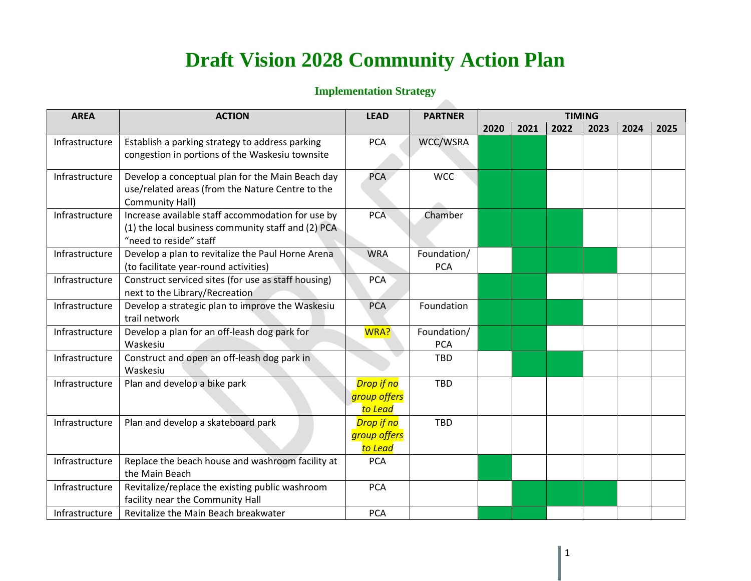## **Draft Vision 2028 Community Action Plan**

## **Implementation Strategy**

| <b>AREA</b>    | <b>ACTION</b>                                                                                                                     | <b>LEAD</b>                           | <b>PARTNER</b>            | <b>TIMING</b> |      |      |      |      |      |  |
|----------------|-----------------------------------------------------------------------------------------------------------------------------------|---------------------------------------|---------------------------|---------------|------|------|------|------|------|--|
|                |                                                                                                                                   |                                       |                           | 2020          | 2021 | 2022 | 2023 | 2024 | 2025 |  |
| Infrastructure | Establish a parking strategy to address parking<br>congestion in portions of the Waskesiu townsite                                | <b>PCA</b>                            | WCC/WSRA                  |               |      |      |      |      |      |  |
| Infrastructure | Develop a conceptual plan for the Main Beach day<br>use/related areas (from the Nature Centre to the<br>Community Hall)           | PCA                                   | <b>WCC</b>                |               |      |      |      |      |      |  |
| Infrastructure | Increase available staff accommodation for use by<br>(1) the local business community staff and (2) PCA<br>"need to reside" staff | <b>PCA</b>                            | Chamber                   |               |      |      |      |      |      |  |
| Infrastructure | Develop a plan to revitalize the Paul Horne Arena<br>(to facilitate year-round activities)                                        | <b>WRA</b>                            | Foundation/<br><b>PCA</b> |               |      |      |      |      |      |  |
| Infrastructure | Construct serviced sites (for use as staff housing)<br>next to the Library/Recreation                                             | <b>PCA</b>                            |                           |               |      |      |      |      |      |  |
| Infrastructure | Develop a strategic plan to improve the Waskesiu<br>trail network                                                                 | <b>PCA</b>                            | Foundation                |               |      |      |      |      |      |  |
| Infrastructure | Develop a plan for an off-leash dog park for<br>Waskesiu                                                                          | WRA?                                  | Foundation/<br><b>PCA</b> |               |      |      |      |      |      |  |
| Infrastructure | Construct and open an off-leash dog park in<br>Waskesiu                                                                           |                                       | <b>TBD</b>                |               |      |      |      |      |      |  |
| Infrastructure | Plan and develop a bike park                                                                                                      | Drop if no<br>group offers<br>to Lead | <b>TBD</b>                |               |      |      |      |      |      |  |
| Infrastructure | Plan and develop a skateboard park                                                                                                | Drop if no<br>group offers<br>to Lead | <b>TBD</b>                |               |      |      |      |      |      |  |
| Infrastructure | Replace the beach house and washroom facility at<br>the Main Beach                                                                | <b>PCA</b>                            |                           |               |      |      |      |      |      |  |
| Infrastructure | Revitalize/replace the existing public washroom<br>facility near the Community Hall                                               | <b>PCA</b>                            |                           |               |      |      |      |      |      |  |
| Infrastructure | Revitalize the Main Beach breakwater                                                                                              | <b>PCA</b>                            |                           |               |      |      |      |      |      |  |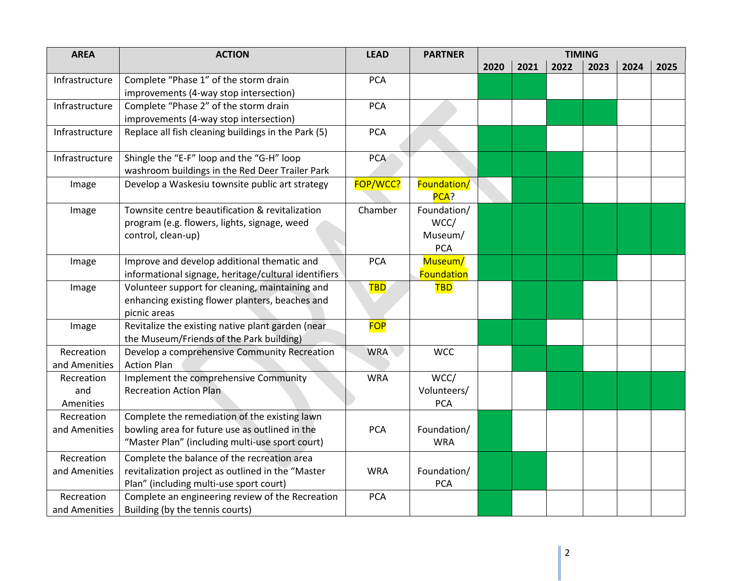| <b>AREA</b>    | <b>ACTION</b>                                        | <b>LEAD</b> | <b>PARTNER</b>      | <b>TIMING</b> |      |      |      |      |      |  |
|----------------|------------------------------------------------------|-------------|---------------------|---------------|------|------|------|------|------|--|
|                |                                                      |             |                     | 2020          | 2021 | 2022 | 2023 | 2024 | 2025 |  |
| Infrastructure | Complete "Phase 1" of the storm drain                | <b>PCA</b>  |                     |               |      |      |      |      |      |  |
|                | improvements (4-way stop intersection)               |             |                     |               |      |      |      |      |      |  |
| Infrastructure | Complete "Phase 2" of the storm drain                | <b>PCA</b>  |                     |               |      |      |      |      |      |  |
|                | improvements (4-way stop intersection)               |             |                     |               |      |      |      |      |      |  |
| Infrastructure | Replace all fish cleaning buildings in the Park (5)  | <b>PCA</b>  |                     |               |      |      |      |      |      |  |
| Infrastructure | Shingle the "E-F" loop and the "G-H" loop            | <b>PCA</b>  |                     |               |      |      |      |      |      |  |
|                | washroom buildings in the Red Deer Trailer Park      |             |                     |               |      |      |      |      |      |  |
| Image          | Develop a Waskesiu townsite public art strategy      | FOP/WCC?    | Foundation/<br>PCA? |               |      |      |      |      |      |  |
| Image          | Townsite centre beautification & revitalization      | Chamber     | Foundation/         |               |      |      |      |      |      |  |
|                | program (e.g. flowers, lights, signage, weed         |             | WCC/                |               |      |      |      |      |      |  |
|                | control, clean-up)                                   |             | Museum/             |               |      |      |      |      |      |  |
|                |                                                      |             | <b>PCA</b>          |               |      |      |      |      |      |  |
| Image          | Improve and develop additional thematic and          | <b>PCA</b>  | Museum/             |               |      |      |      |      |      |  |
|                | informational signage, heritage/cultural identifiers |             | Foundation          |               |      |      |      |      |      |  |
| Image          | Volunteer support for cleaning, maintaining and      | TBD.        | <b>TBD</b>          |               |      |      |      |      |      |  |
|                | enhancing existing flower planters, beaches and      |             |                     |               |      |      |      |      |      |  |
|                | picnic areas                                         |             |                     |               |      |      |      |      |      |  |
| Image          | Revitalize the existing native plant garden (near    | <b>FOP</b>  |                     |               |      |      |      |      |      |  |
|                | the Museum/Friends of the Park building)             |             |                     |               |      |      |      |      |      |  |
| Recreation     | Develop a comprehensive Community Recreation         | <b>WRA</b>  | <b>WCC</b>          |               |      |      |      |      |      |  |
| and Amenities  | <b>Action Plan</b>                                   |             |                     |               |      |      |      |      |      |  |
| Recreation     | Implement the comprehensive Community                | <b>WRA</b>  | WCC/                |               |      |      |      |      |      |  |
| and            | <b>Recreation Action Plan</b>                        |             | Volunteers/         |               |      |      |      |      |      |  |
| Amenities      |                                                      |             | <b>PCA</b>          |               |      |      |      |      |      |  |
| Recreation     | Complete the remediation of the existing lawn        |             |                     |               |      |      |      |      |      |  |
| and Amenities  | bowling area for future use as outlined in the       | <b>PCA</b>  | Foundation/         |               |      |      |      |      |      |  |
|                | "Master Plan" (including multi-use sport court)      |             | <b>WRA</b>          |               |      |      |      |      |      |  |
| Recreation     | Complete the balance of the recreation area          |             |                     |               |      |      |      |      |      |  |
| and Amenities  | revitalization project as outlined in the "Master    | <b>WRA</b>  | Foundation/         |               |      |      |      |      |      |  |
|                | Plan" (including multi-use sport court)              |             | <b>PCA</b>          |               |      |      |      |      |      |  |
| Recreation     | Complete an engineering review of the Recreation     | <b>PCA</b>  |                     |               |      |      |      |      |      |  |
| and Amenities  | Building (by the tennis courts)                      |             |                     |               |      |      |      |      |      |  |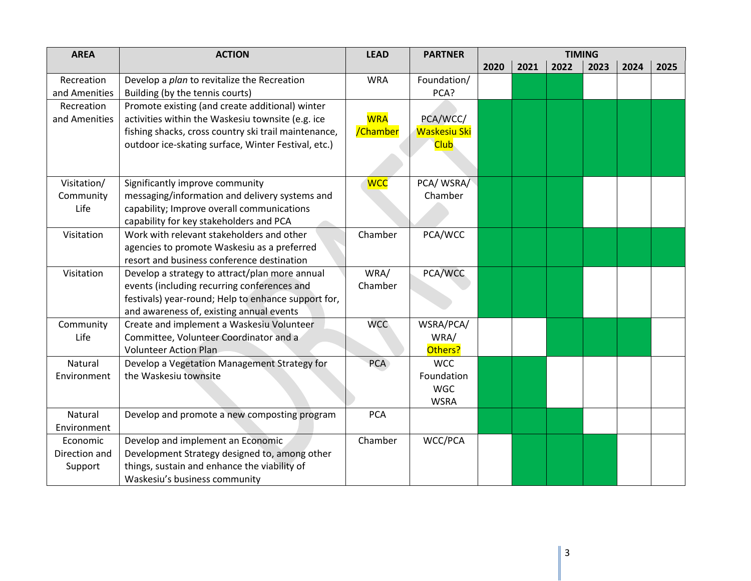| <b>AREA</b>   | <b>ACTION</b>                                        | <b>LEAD</b> | <b>PARTNER</b>            | <b>TIMING</b> |      |      |      |      |      |
|---------------|------------------------------------------------------|-------------|---------------------------|---------------|------|------|------|------|------|
|               |                                                      |             |                           | 2020          | 2021 | 2022 | 2023 | 2024 | 2025 |
| Recreation    | Develop a plan to revitalize the Recreation          | <b>WRA</b>  | Foundation/               |               |      |      |      |      |      |
| and Amenities | Building (by the tennis courts)                      |             | PCA?                      |               |      |      |      |      |      |
| Recreation    | Promote existing (and create additional) winter      |             |                           |               |      |      |      |      |      |
| and Amenities | activities within the Waskesiu townsite (e.g. ice    | <b>WRA</b>  | PCA/WCC/                  |               |      |      |      |      |      |
|               | fishing shacks, cross country ski trail maintenance, | /Chamber    | <b>Waskesiu Ski</b>       |               |      |      |      |      |      |
|               | outdoor ice-skating surface, Winter Festival, etc.)  |             | <b>Club</b>               |               |      |      |      |      |      |
|               |                                                      |             |                           |               |      |      |      |      |      |
| Visitation/   | Significantly improve community                      | <b>WCC</b>  | PCA/WSRA/                 |               |      |      |      |      |      |
| Community     | messaging/information and delivery systems and       |             | Chamber                   |               |      |      |      |      |      |
| Life          | capability; Improve overall communications           |             |                           |               |      |      |      |      |      |
|               | capability for key stakeholders and PCA              |             |                           |               |      |      |      |      |      |
| Visitation    | Work with relevant stakeholders and other            | Chamber     | PCA/WCC                   |               |      |      |      |      |      |
|               | agencies to promote Waskesiu as a preferred          |             |                           |               |      |      |      |      |      |
|               | resort and business conference destination           |             |                           |               |      |      |      |      |      |
| Visitation    | Develop a strategy to attract/plan more annual       | WRA/        | PCA/WCC                   |               |      |      |      |      |      |
|               | events (including recurring conferences and          | Chamber     |                           |               |      |      |      |      |      |
|               | festivals) year-round; Help to enhance support for,  |             |                           |               |      |      |      |      |      |
|               | and awareness of, existing annual events             |             |                           |               |      |      |      |      |      |
| Community     | Create and implement a Waskesiu Volunteer            | <b>WCC</b>  | WSRA/PCA/                 |               |      |      |      |      |      |
| Life          | Committee, Volunteer Coordinator and a               |             | WRA/                      |               |      |      |      |      |      |
|               | <b>Volunteer Action Plan</b>                         |             | Others?                   |               |      |      |      |      |      |
| Natural       | Develop a Vegetation Management Strategy for         | <b>PCA</b>  | <b>WCC</b>                |               |      |      |      |      |      |
| Environment   | the Waskesiu townsite                                |             | Foundation                |               |      |      |      |      |      |
|               |                                                      |             | <b>WGC</b><br><b>WSRA</b> |               |      |      |      |      |      |
| Natural       | Develop and promote a new composting program         | <b>PCA</b>  |                           |               |      |      |      |      |      |
| Environment   |                                                      |             |                           |               |      |      |      |      |      |
| Economic      | Develop and implement an Economic                    | Chamber     | WCC/PCA                   |               |      |      |      |      |      |
| Direction and | Development Strategy designed to, among other        |             |                           |               |      |      |      |      |      |
| Support       | things, sustain and enhance the viability of         |             |                           |               |      |      |      |      |      |
|               | Waskesiu's business community                        |             |                           |               |      |      |      |      |      |